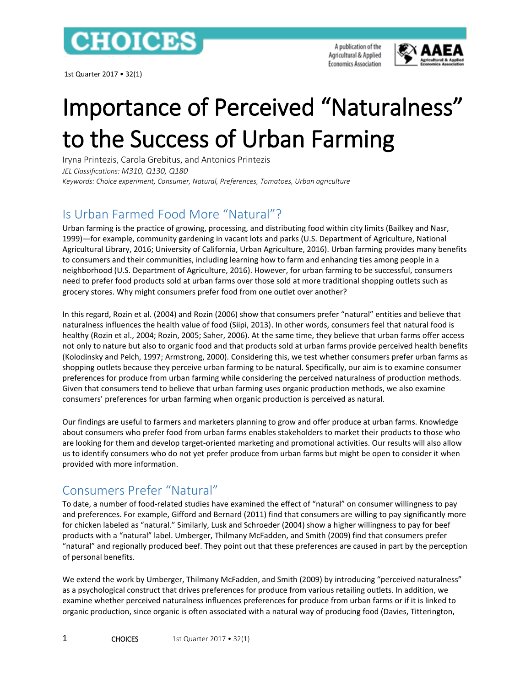

1st Quarter 2017 • 32(1)

A publication of the Agricultural & Applied **Economics Association** 



# Importance of Perceived "Naturalness" to the Success of Urban Farming

Iryna Printezis, Carola Grebitus, and Antonios Printezis *JEL Classifications: M310, Q130, Q180 Keywords: Choice experiment, Consumer, Natural, Preferences, Tomatoes, Urban agriculture*

#### Is Urban Farmed Food More "Natural"?

Urban farming is the practice of growing, processing, and distributing food within city limits (Bailkey and Nasr, 1999)—for example, community gardening in vacant lots and parks (U.S. Department of Agriculture, National Agricultural Library, 2016; University of California, Urban Agriculture, 2016). Urban farming provides many benefits to consumers and their communities, including learning how to farm and enhancing ties among people in a neighborhood (U.S. Department of Agriculture, 2016). However, for urban farming to be successful, consumers need to prefer food products sold at urban farms over those sold at more traditional shopping outlets such as grocery stores. Why might consumers prefer food from one outlet over another?

In this regard, Rozin et al. (2004) and Rozin (2006) show that consumers prefer "natural" entities and believe that naturalness influences the health value of food (Siipi, 2013). In other words, consumers feel that natural food is healthy (Rozin et al., 2004; Rozin, 2005; Saher, 2006). At the same time, they believe that urban farms offer access not only to nature but also to organic food and that products sold at urban farms provide perceived health benefits (Kolodinsky and Pelch, 1997; Armstrong, 2000). Considering this, we test whether consumers prefer urban farms as shopping outlets because they perceive urban farming to be natural. Specifically, our aim is to examine consumer preferences for produce from urban farming while considering the perceived naturalness of production methods. Given that consumers tend to believe that urban farming uses organic production methods, we also examine consumers' preferences for urban farming when organic production is perceived as natural.

Our findings are useful to farmers and marketers planning to grow and offer produce at urban farms. Knowledge about consumers who prefer food from urban farms enables stakeholders to market their products to those who are looking for them and develop target-oriented marketing and promotional activities. Our results will also allow us to identify consumers who do not yet prefer produce from urban farms but might be open to consider it when provided with more information.

## Consumers Prefer "Natural"

To date, a number of food-related studies have examined the effect of "natural" on consumer willingness to pay and preferences. For example, Gifford and Bernard (2011) find that consumers are willing to pay significantly more for chicken labeled as "natural." Similarly, Lusk and Schroeder (2004) show a higher willingness to pay for beef products with a "natural" label. Umberger, Thilmany McFadden, and Smith (2009) find that consumers prefer "natural" and regionally produced beef. They point out that these preferences are caused in part by the perception of personal benefits.

We extend the work by Umberger, Thilmany McFadden, and Smith (2009) by introducing "perceived naturalness" as a psychological construct that drives preferences for produce from various retailing outlets. In addition, we examine whether perceived naturalness influences preferences for produce from urban farms or if it is linked to organic production, since organic is often associated with a natural way of producing food (Davies, Titterington,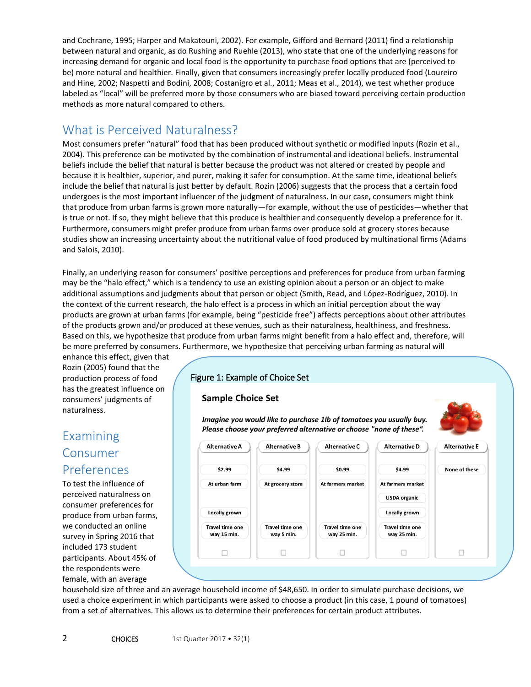and Cochrane, 1995; Harper and Makatouni, 2002). For example, Gifford and Bernard (2011) find a relationship between natural and organic, as do Rushing and Ruehle (2013), who state that one of the underlying reasons for increasing demand for organic and local food is the opportunity to purchase food options that are (perceived to be) more natural and healthier. Finally, given that consumers increasingly prefer locally produced food (Loureiro and Hine, 2002; Naspetti and Bodini, 2008; Costanigro et al., 2011; Meas et al., 2014), we test whether produce labeled as "local" will be preferred more by those consumers who are biased toward perceiving certain production methods as more natural compared to others.

#### What is Perceived Naturalness?

Most consumers prefer "natural" food that has been produced without synthetic or modified inputs (Rozin et al., 2004). This preference can be motivated by the combination of instrumental and ideational beliefs. Instrumental beliefs include the belief that natural is better because the product was not altered or created by people and because it is healthier, superior, and purer, making it safer for consumption. At the same time, ideational beliefs include the belief that natural is just better by default. Rozin (2006) suggests that the process that a certain food undergoes is the most important influencer of the judgment of naturalness. In our case, consumers might think that produce from urban farms is grown more naturally—for example, without the use of pesticides—whether that is true or not. If so, they might believe that this produce is healthier and consequently develop a preference for it. Furthermore, consumers might prefer produce from urban farms over produce sold at grocery stores because studies show an increasing uncertainty about the nutritional value of food produced by multinational firms (Adams and Salois, 2010).

Finally, an underlying reason for consumers' positive perceptions and preferences for produce from urban farming may be the "halo effect," which is a tendency to use an existing opinion about a person or an object to make additional assumptions and judgments about that person or object (Smith, Read, and López-Rodríguez, 2010). In the context of the current research, the halo effect is a process in which an initial perception about the way products are grown at urban farms (for example, being "pesticide free") affects perceptions about other attributes of the products grown and/or produced at these venues, such as their naturalness, healthiness, and freshness. Based on this, we hypothesize that produce from urban farms might benefit from a halo effect and, therefore, will be more preferred by consumers. Furthermore, we hypothesize that perceiving urban farming as natural will

enhance this effect, given that Rozin (2005) found that the production process of food has the greatest influence on consumers' judgments of naturalness.

#### Examining Consumer Preferences

To test the influence of perceived naturalness on consumer preferences for produce from urban farms, we conducted an online survey in Spring 2016 that included 173 student participants. About 45% of the respondents were female, with an average

#### Figure 1: Example of Choice Set

#### **Sample Choice Set**

Imagine you would like to purchase 1lb of tomatoes you usually buy. Please choose your preferred alternative or choose "none of these".



household size of three and an average household income of \$48,650. In order to simulate purchase decisions, we used a choice experiment in which participants were asked to choose a product (in this case, 1 pound of tomatoes) from a set of alternatives. This allows us to determine their preferences for certain product attributes.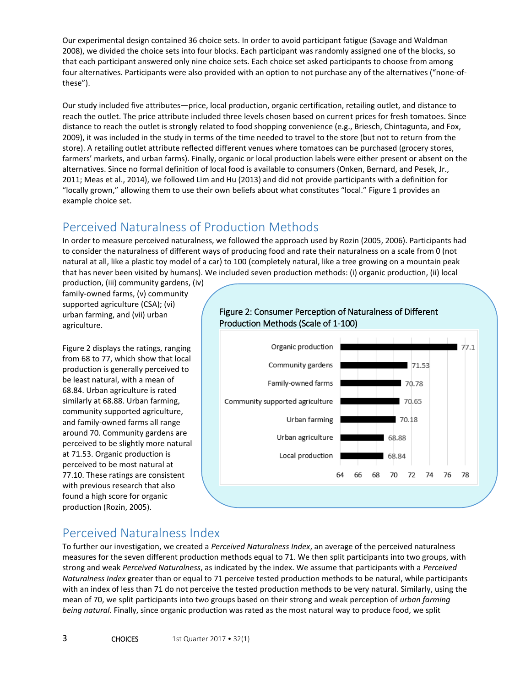Our experimental design contained 36 choice sets. In order to avoid participant fatigue (Savage and Waldman 2008), we divided the choice sets into four blocks. Each participant was randomly assigned one of the blocks, so that each participant answered only nine choice sets. Each choice set asked participants to choose from among four alternatives. Participants were also provided with an option to not purchase any of the alternatives ("none-ofthese").

Our study included five attributes—price, local production, organic certification, retailing outlet, and distance to reach the outlet. The price attribute included three levels chosen based on current prices for fresh tomatoes. Since distance to reach the outlet is strongly related to food shopping convenience (e.g., Briesch, Chintagunta, and Fox, 2009), it was included in the study in terms of the time needed to travel to the store (but not to return from the store). A retailing outlet attribute reflected different venues where tomatoes can be purchased (grocery stores, farmers' markets, and urban farms). Finally, organic or local production labels were either present or absent on the alternatives. Since no formal definition of local food is available to consumers (Onken, Bernard, and Pesek, Jr., 2011; Meas et al., 2014), we followed Lim and Hu (2013) and did not provide participants with a definition for "locally grown," allowing them to use their own beliefs about what constitutes "local." Figure 1 provides an example choice set.

#### Perceived Naturalness of Production Methods

In order to measure perceived naturalness, we followed the approach used by Rozin (2005, 2006). Participants had to consider the naturalness of different ways of producing food and rate their naturalness on a scale from 0 (not natural at all, like a plastic toy model of a car) to 100 (completely natural, like a tree growing on a mountain peak that has never been visited by humans). We included seven production methods: (i) organic production, (ii) local

production, (iii) community gardens, (iv) family-owned farms, (v) community supported agriculture (CSA); (vi) urban farming, and (vii) urban agriculture.

Figure 2 displays the ratings, ranging from 68 to 77, which show that local production is generally perceived to be least natural, with a mean of 68.84. Urban agriculture is rated similarly at 68.88. Urban farming, community supported agriculture, and family-owned farms all range around 70. Community gardens are perceived to be slightly more natural at 71.53. Organic production is perceived to be most natural at 77.10. These ratings are consistent with previous research that also found a high score for organic production (Rozin, 2005).



# Figure 2: Consumer Perception of Naturalness of Different

## Perceived Naturalness Index

To further our investigation, we created a *Perceived Naturalness Index*, an average of the perceived naturalness measures for the seven different production methods equal to 71. We then split participants into two groups, with strong and weak *Perceived Naturalness*, as indicated by the index. We assume that participants with a *Perceived Naturalness Index* greater than or equal to 71 perceive tested production methods to be natural, while participants with an index of less than 71 do not perceive the tested production methods to be very natural. Similarly, using the mean of 70, we split participants into two groups based on their strong and weak perception of *urban farming being natural*. Finally, since organic production was rated as the most natural way to produce food, we split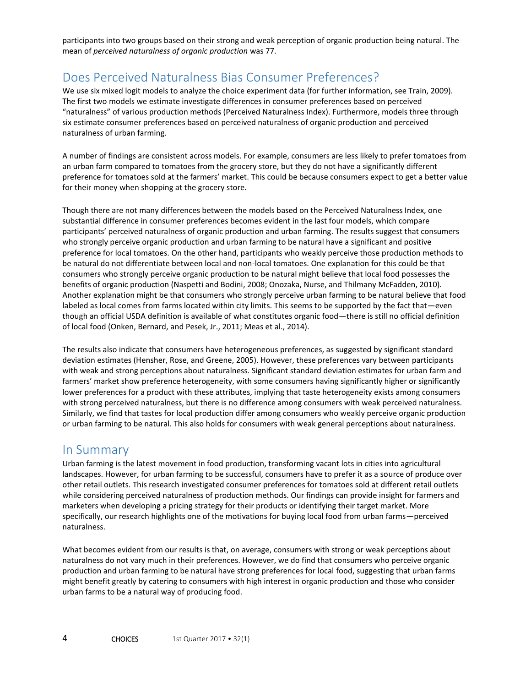participants into two groups based on their strong and weak perception of organic production being natural. The mean of *perceived naturalness of organic production* was 77.

#### Does Perceived Naturalness Bias Consumer Preferences?

We use six mixed logit models to analyze the choice experiment data (for further information, see Train, 2009). The first two models we estimate investigate differences in consumer preferences based on perceived "naturalness" of various production methods (Perceived Naturalness Index). Furthermore, models three through six estimate consumer preferences based on perceived naturalness of organic production and perceived naturalness of urban farming.

A number of findings are consistent across models. For example, consumers are less likely to prefer tomatoes from an urban farm compared to tomatoes from the grocery store, but they do not have a significantly different preference for tomatoes sold at the farmers' market. This could be because consumers expect to get a better value for their money when shopping at the grocery store.

Though there are not many differences between the models based on the Perceived Naturalness Index, one substantial difference in consumer preferences becomes evident in the last four models, which compare participants' perceived naturalness of organic production and urban farming. The results suggest that consumers who strongly perceive organic production and urban farming to be natural have a significant and positive preference for local tomatoes. On the other hand, participants who weakly perceive those production methods to be natural do not differentiate between local and non-local tomatoes. One explanation for this could be that consumers who strongly perceive organic production to be natural might believe that local food possesses the benefits of organic production (Naspetti and Bodini, 2008; Onozaka, Nurse, and Thilmany McFadden, 2010). Another explanation might be that consumers who strongly perceive urban farming to be natural believe that food labeled as local comes from farms located within city limits. This seems to be supported by the fact that—even though an official USDA definition is available of what constitutes organic food—there is still no official definition of local food (Onken, Bernard, and Pesek, Jr., 2011; Meas et al., 2014).

The results also indicate that consumers have heterogeneous preferences, as suggested by significant standard deviation estimates (Hensher, Rose, and Greene, 2005). However, these preferences vary between participants with weak and strong perceptions about naturalness. Significant standard deviation estimates for urban farm and farmers' market show preference heterogeneity, with some consumers having significantly higher or significantly lower preferences for a product with these attributes, implying that taste heterogeneity exists among consumers with strong perceived naturalness, but there is no difference among consumers with weak perceived naturalness. Similarly, we find that tastes for local production differ among consumers who weakly perceive organic production or urban farming to be natural. This also holds for consumers with weak general perceptions about naturalness.

#### In Summary

Urban farming is the latest movement in food production, transforming vacant lots in cities into agricultural landscapes. However, for urban farming to be successful, consumers have to prefer it as a source of produce over other retail outlets. This research investigated consumer preferences for tomatoes sold at different retail outlets while considering perceived naturalness of production methods. Our findings can provide insight for farmers and marketers when developing a pricing strategy for their products or identifying their target market. More specifically, our research highlights one of the motivations for buying local food from urban farms—perceived naturalness.

What becomes evident from our results is that, on average, consumers with strong or weak perceptions about naturalness do not vary much in their preferences. However, we do find that consumers who perceive organic production and urban farming to be natural have strong preferences for local food, suggesting that urban farms might benefit greatly by catering to consumers with high interest in organic production and those who consider urban farms to be a natural way of producing food.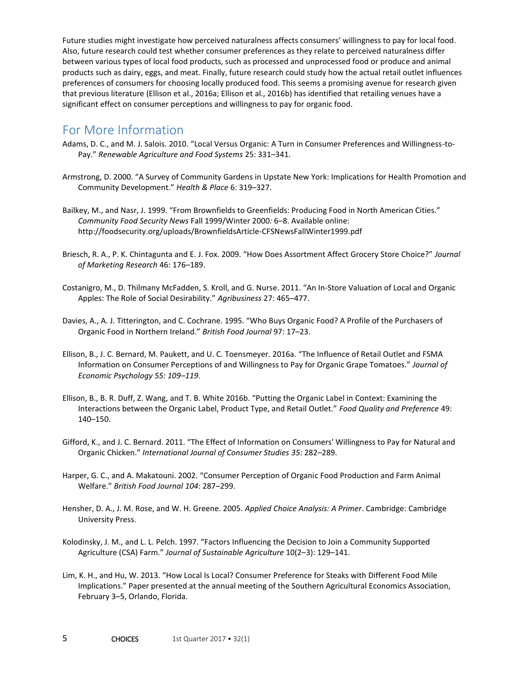Future studies might investigate how perceived naturalness affects consumers' willingness to pay for local food. Also, future research could test whether consumer preferences as they relate to perceived naturalness differ between various types of local food products, such as processed and unprocessed food or produce and animal products such as dairy, eggs, and meat. Finally, future research could study how the actual retail outlet influences preferences of consumers for choosing locally produced food. This seems a promising avenue for research given that previous literature (Ellison et al., 2016a; Ellison et al., 2016b) has identified that retailing venues have a significant effect on consumer perceptions and willingness to pay for organic food.

#### For More Information

- Adams, D. C., and M. J. Salois. 2010. "Local Versus Organic: A Turn in Consumer Preferences and Willingness-to-Pay." *Renewable Agriculture and Food Systems* 25: 331–341.
- Armstrong, D. 2000. "A Survey of Community Gardens in Upstate New York: Implications for Health Promotion and Community Development." *Health & Place* 6: 319–327.
- Bailkey, M., and Nasr, J. 1999. "From Brownfields to Greenfields: Producing Food in North American Cities." *Community Food Security News* Fall 1999/Winter 2000*:* 6–8. Available online: http://foodsecurity.org/uploads/BrownfieldsArticle-CFSNewsFallWinter1999.pdf
- Briesch, R. A., P. K. Chintagunta and E. J. Fox. 2009. "How Does Assortment Affect Grocery Store Choice?" *Journal of Marketing Research* 46: 176–189.
- Costanigro, M., D. Thilmany McFadden, S. Kroll, and G. Nurse. 2011. "An In‐Store Valuation of Local and Organic Apples: The Role of Social Desirability." *Agribusiness* 27: 465–477.
- Davies, A., A. J. Titterington, and C. Cochrane. 1995. "Who Buys Organic Food? A Profile of the Purchasers of Organic Food in Northern Ireland." *British Food Journal* 97: 17–23.
- Ellison, B., J. C. Bernard, M. Paukett, and U. C. Toensmeyer. 2016a. "The Influence of Retail Outlet and FSMA Information on Consumer Perceptions of and Willingness to Pay for Organic Grape Tomatoes." *Journal of Economic Psychology 55: 109–119.*
- Ellison, B., B. R. Duff, Z. Wang, and T. B. White 2016b. "Putting the Organic Label in Context: Examining the Interactions between the Organic Label, Product Type, and Retail Outlet." *Food Quality and Preference* 49: 140–150.
- Gifford, K., and J. C. Bernard. 2011. "The Effect of Information on Consumers' Willingness to Pay for Natural and Organic Chicken." *International Journal of Consumer Studies 35*: 282–289.
- Harper, G. C., and A. Makatouni. 2002. "Consumer Perception of Organic Food Production and Farm Animal Welfare." *British Food Journal 104*: 287–299.
- Hensher, D. A., J. M. Rose, and W. H. Greene. 2005. *Applied Choice Analysis: A Primer*. Cambridge: Cambridge University Press.
- Kolodinsky, J. M., and L. L. Pelch. 1997. "Factors Influencing the Decision to Join a Community Supported Agriculture (CSA) Farm." *Journal of Sustainable Agriculture* 10(2–3): 129–141.
- Lim, K. H., and Hu, W. 2013. "How Local Is Local? Consumer Preference for Steaks with Different Food Mile Implications." Paper presented at the annual meeting of the Southern Agricultural Economics Association, February 3–5, Orlando, Florida.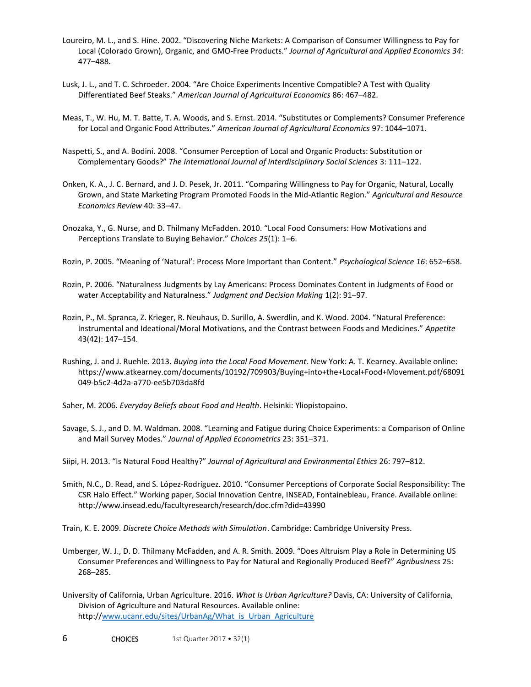- Loureiro, M. L., and S. Hine. 2002. "Discovering Niche Markets: A Comparison of Consumer Willingness to Pay for Local (Colorado Grown), Organic, and GMO-Free Products." *Journal of Agricultural and Applied Economics 34*: 477–488.
- Lusk, J. L., and T. C. Schroeder. 2004. "Are Choice Experiments Incentive Compatible? A Test with Quality Differentiated Beef Steaks." *American Journal of Agricultural Economics* 86: 467–482.
- Meas, T., W. Hu, M. T. Batte, T. A. Woods, and S. Ernst. 2014. "Substitutes or Complements? Consumer Preference for Local and Organic Food Attributes." *American Journal of Agricultural Economics* 97: 1044–1071.
- Naspetti, S., and A. Bodini. 2008. "Consumer Perception of Local and Organic Products: Substitution or Complementary Goods?" *The International Journal of Interdisciplinary Social Sciences* 3: 111–122.
- Onken, K. A., J. C. Bernard, and J. D. Pesek, Jr. 2011. "Comparing Willingness to Pay for Organic, Natural, Locally Grown, and State Marketing Program Promoted Foods in the Mid-Atlantic Region." *Agricultural and Resource Economics Review* 40: 33–47.
- Onozaka, Y., G. Nurse, and D. Thilmany McFadden. 2010. "Local Food Consumers: How Motivations and Perceptions Translate to Buying Behavior." *Choices 25*(1): 1–6.
- Rozin, P. 2005. "Meaning of 'Natural': Process More Important than Content." *Psychological Science 16*: 652–658.
- Rozin, P. 2006. "Naturalness Judgments by Lay Americans: Process Dominates Content in Judgments of Food or water Acceptability and Naturalness." *Judgment and Decision Making* 1(2): 91–97.
- Rozin, P., M. Spranca, Z. Krieger, R. Neuhaus, D. Surillo, A. Swerdlin, and K. Wood. 2004. "Natural Preference: Instrumental and Ideational/Moral Motivations, and the Contrast between Foods and Medicines." *Appetite* 43(42): 147–154.
- Rushing, J. and J. Ruehle. 2013. *Buying into the Local Food Movement*. New York: A. T. Kearney. Available online: https://www.atkearney.com/documents/10192/709903/Buying+into+the+Local+Food+Movement.pdf/68091 049-b5c2-4d2a-a770-ee5b703da8fd
- Saher, M. 2006. *Everyday Beliefs about Food and Health*. Helsinki: Yliopistopaino.
- Savage, S. J., and D. M. Waldman. 2008. "Learning and Fatigue during Choice Experiments: a Comparison of Online and Mail Survey Modes." *Journal of Applied Econometrics* 23: 351–371.
- Siipi, H. 2013. "Is Natural Food Healthy?" *Journal of Agricultural and Environmental Ethics* 26: 797–812.
- Smith, N.C., D. Read, and S. López-Rodríguez. 2010. "Consumer Perceptions of Corporate Social Responsibility: The CSR Halo Effect." Working paper, Social Innovation Centre, INSEAD, Fontainebleau, France. Available online: http://www.insead.edu/facultyresearch/research/doc.cfm?did=43990

Train, K. E. 2009. *Discrete Choice Methods with Simulation*. Cambridge: Cambridge University Press.

- Umberger, W. J., D. D. Thilmany McFadden, and A. R. Smith. 2009. "Does Altruism Play a Role in Determining US Consumer Preferences and Willingness to Pay for Natural and Regionally Produced Beef?" *Agribusiness* 25: 268–285.
- University of California, Urban Agriculture. 2016. *What Is Urban Agriculture?* Davis, CA: University of California, Division of Agriculture and Natural Resources. Available online: http:/[/www.ucanr.edu/sites/UrbanAg/What\\_is\\_Urban\\_Agriculture](http://www.ucanr.edu/sites/UrbanAg/What_is_Urban_Agriculture)